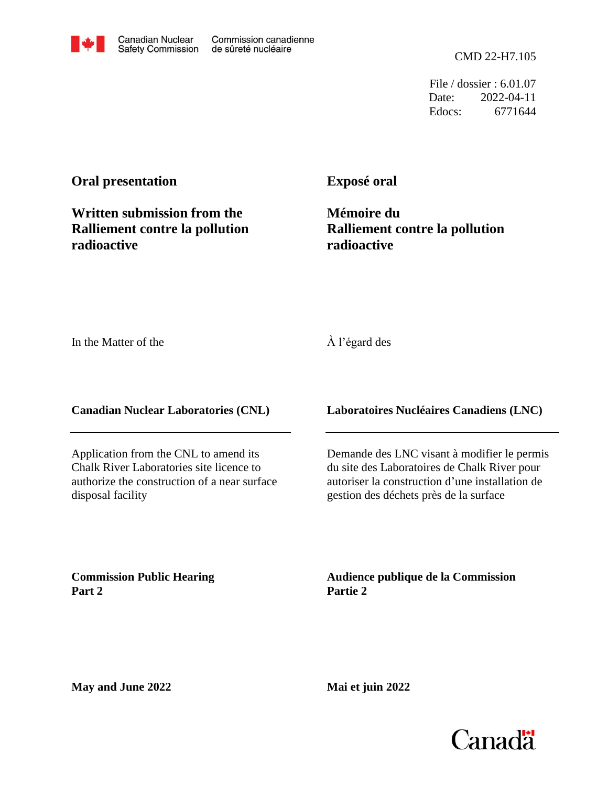CMD 22-H7.105

File / dossier : 6.01.07 Date: 2022-04-11 Edocs: 6771644

# **Oral presentation**

**Written submission from the Ralliement contre la pollution radioactive**

**Exposé oral**

**Mémoire du Ralliement contre la pollution radioactive**

In the Matter of the

#### À l'égard des

**Canadian Nuclear Laboratories (CNL)**

Application from the CNL to amend its Chalk River Laboratories site licence to authorize the construction of a near surface disposal facility

**Laboratoires Nucléaires Canadiens (LNC)**

Demande des LNC visant à modifier le permis du site des Laboratoires de Chalk River pour autoriser la construction d'une installation de gestion des déchets près de la surface

**Commission Public Hearing Part 2**

**Audience publique de la Commission Partie 2**

**May and June 2022**



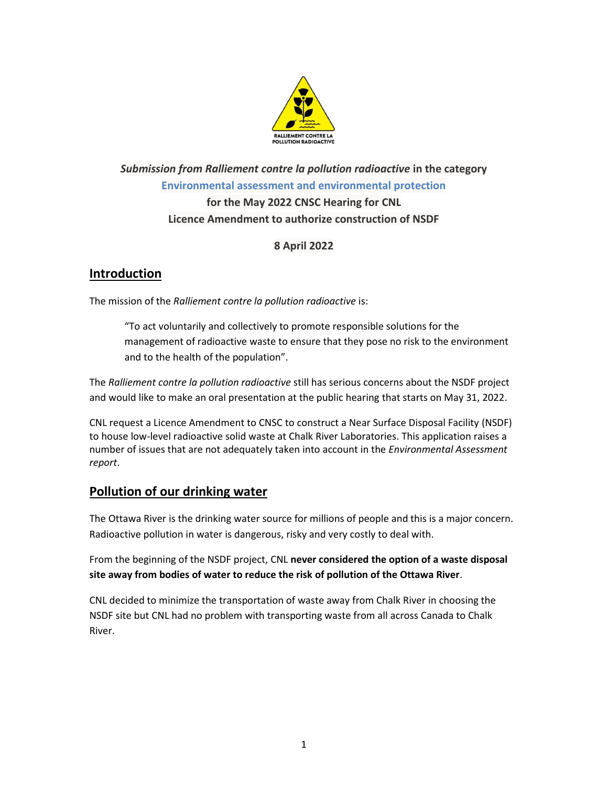

# *Submission from Ralliement contre la pollution radioactive* **in the category Environmental assessment and environmental protection for the May 2022 CNSC Hearing for CNL Licence Amendment to authorize construction of NSDF**

### **8 April 2022**

## **Introduction**

The mission of the *Ralliement contre la pollution radioactive* is:

"To act voluntarily and collectively to promote responsible solutions for the management of radioactive waste to ensure that they pose no risk to the environment and to the health of the population".

The *Ralliement contre la pollution radioactive* still has serious concerns about the NSDF project and would like to make an oral presentation at the public hearing that starts on May 31, 2022.

CNL request a Licence Amendment to CNSC to construct a Near Surface Disposal Facility (NSDF) to house low-level radioactive solid waste at Chalk River Laboratories. This application raises a number of issues that are not adequately taken into account in the *Environmental Assessment report*.

## **Pollution of our drinking water**

The Ottawa River is the drinking water source for millions of people and this is a major concern. Radioactive pollution in water is dangerous, risky and very costly to deal with.

From the beginning of the NSDF project, CNL **never considered the option of a waste disposal site away from bodies of water to reduce the risk of pollution of the Ottawa River**.

CNL decided to minimize the transportation of waste away from Chalk River in choosing the NSDF site but CNL had no problem with transporting waste from all across Canada to Chalk River.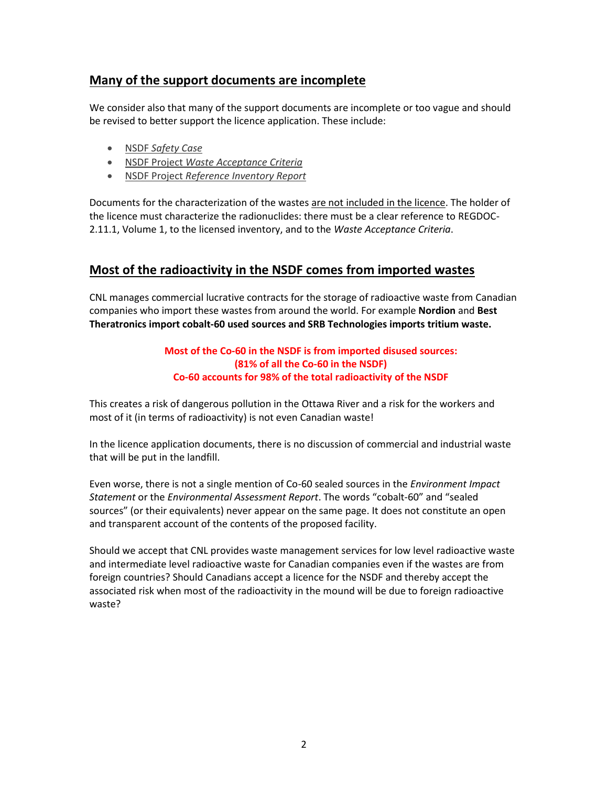# **Many of the support documents are incomplete**

We consider also that many of the support documents are incomplete or too vague and should be revised to better support the licence application. These include:

- NSDF *[Safety](https://www.cnl.ca/wp-content/uploads/2021/03/Near_Surface_Disposal_Facility_Safety_Case_Rev_2.pdf) Case*
- NSDF Project *Waste [Acceptance](https://www.cnl.ca/wp-content/uploads/2021/03/Near-Surface-Disposal-Facility-Waste-Acceptance-Criteria-Rev-4_EN.pdf) Criteria*
- NSDF Project *[Reference](https://www.cnl.ca/wp-content/uploads/2021/03/NSDF-Reference-Inventory-Rev-3.pdf) Inventory Report*

Documents for the characterization of the wastes are not included in the licence. The holder of the licence must characterize the radionuclides: there must be a clear reference to REGDOC-2.11.1, Volume 1, to the licensed inventory, and to the *Waste Acceptance Criteria*.

## **Most of the radioactivity in the NSDF comes from imported wastes**

CNL manages commercial lucrative contracts for the storage of radioactive waste from Canadian companies who import these wastes from around the world. For example **Nordion** and **Best Theratronics import cobalt-60 used sources and SRB Technologies imports tritium waste.**

#### **Most of the Co-60 in the NSDF is from imported disused sources: (81% of all the Co-60 in the NSDF) Co-60 accounts for 98% of the total radioactivity of the NSDF**

This creates a risk of dangerous pollution in the Ottawa River and a risk for the workers and most of it (in terms of radioactivity) is not even Canadian waste!

In the licence application documents, there is no discussion of commercial and industrial waste that will be put in the landfill.

Even worse, there is not a single mention of Co-60 sealed sources in the *Environment Impact Statement* or the *Environmental Assessment Report*. The words "cobalt-60" and "sealed sources" (or their equivalents) never appear on the same page. It does not constitute an open and transparent account of the contents of the proposed facility.

Should we accept that CNL provides waste management services for low level radioactive waste and intermediate level radioactive waste for Canadian companies even if the wastes are from foreign countries? Should Canadians accept a licence for the NSDF and thereby accept the associated risk when most of the radioactivity in the mound will be due to foreign radioactive waste?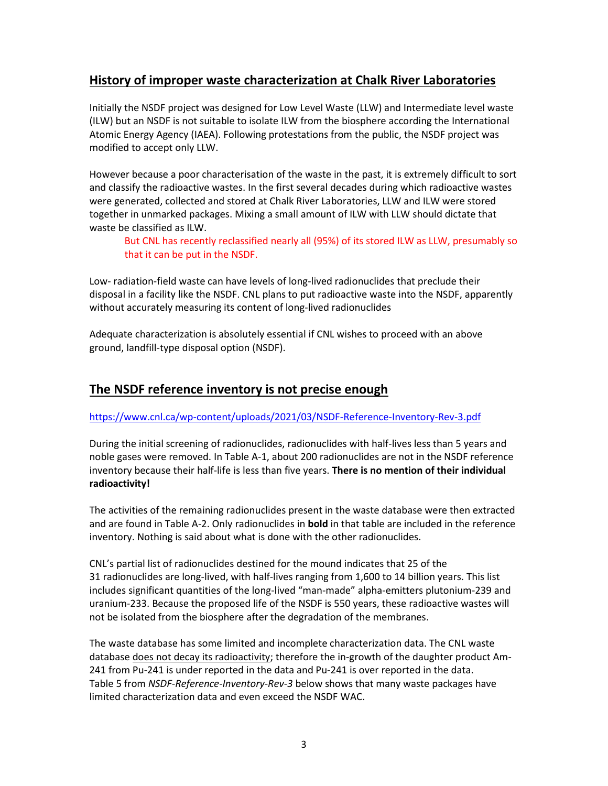# **History of improper waste characterization at Chalk River Laboratories**

Initially the NSDF project was designed for Low Level Waste (LLW) and Intermediate level waste (ILW) but an NSDF is not suitable to isolate ILW from the biosphere according the International Atomic Energy Agency (IAEA). Following protestations from the public, the NSDF project was modified to accept only LLW.

However because a poor characterisation of the waste in the past, it is extremely difficult to sort and classify the radioactive wastes. In the first several decades during which radioactive wastes were generated, collected and stored at Chalk River Laboratories, LLW and ILW were stored together in unmarked packages. Mixing a small amount of ILW with LLW should dictate that waste be classified as ILW.

But CNL has recently reclassified nearly all (95%) of its stored ILW as LLW, presumably so that it can be put in the NSDF.

Low- radiation-field waste can have levels of long-lived radionuclides that preclude their disposal in a facility like the NSDF. CNL plans to put radioactive waste into the NSDF, apparently without accurately measuring its content of long-lived radionuclides

Adequate characterization is absolutely essential if CNL wishes to proceed with an above ground, landfill-type disposal option (NSDF).

# **The NSDF reference inventory is not precise enough**

#### <https://www.cnl.ca/wp-content/uploads/2021/03/NSDF-Reference-Inventory-Rev-3.pdf>

During the initial screening of radionuclides, radionuclides with half-lives less than 5 years and noble gases were removed. In Table A-1, about 200 radionuclides are not in the NSDF reference inventory because their half-life is less than five years. **There is no mention of their individual radioactivity!** 

The activities of the remaining radionuclides present in the waste database were then extracted and are found in Table A-2. Only radionuclides in **bold** in that table are included in the reference inventory. Nothing is said about what is done with the other radionuclides.

CNL's partial list of radionuclides destined for the mound indicates that 25 of the 31 radionuclides are long-lived, with half-lives ranging from 1,600 to 14 billion years. This list includes significant quantities of the long-lived "man-made" alpha-emitters plutonium-239 and uranium-233. Because the proposed life of the NSDF is 550 years, these radioactive wastes will not be isolated from the biosphere after the degradation of the membranes.

The waste database has some limited and incomplete characterization data. The CNL waste database does not decay its radioactivity; therefore the in-growth of the daughter product Am-241 from Pu-241 is under reported in the data and Pu-241 is over reported in the data. Table 5 from *NSDF-Reference-Inventory-Rev-3* below shows that many waste packages have limited characterization data and even exceed the NSDF WAC.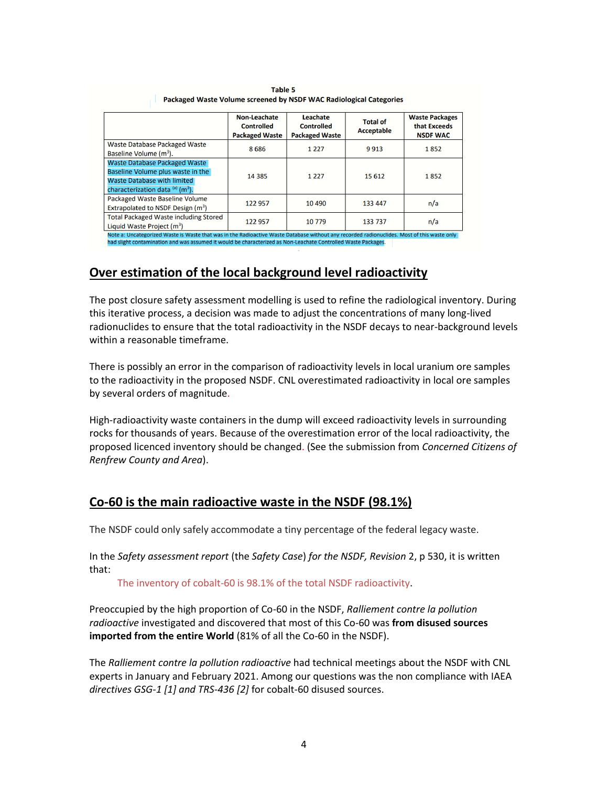|                                               | Non-Leachate<br><b>Controlled</b><br><b>Packaged Waste</b> | Leachate<br><b>Controlled</b><br><b>Packaged Waste</b> | <b>Total of</b><br>Acceptable | <b>Waste Packages</b><br>that Exceeds<br><b>NSDF WAC</b> |
|-----------------------------------------------|------------------------------------------------------------|--------------------------------------------------------|-------------------------------|----------------------------------------------------------|
| <b>Waste Database Packaged Waste</b>          | 8686                                                       | 1 2 2 7                                                | 9913                          | 1852                                                     |
| Baseline Volume (m <sup>3</sup> ).            |                                                            |                                                        |                               |                                                          |
| Waste Database Packaged Waste                 | 14 3 8 5                                                   | 1 2 2 7                                                | 15 6 12                       | 1852                                                     |
| Baseline Volume plus waste in the             |                                                            |                                                        |                               |                                                          |
| Waste Database with limited                   |                                                            |                                                        |                               |                                                          |
| characterization data (a) (m <sup>3</sup> ).  |                                                            |                                                        |                               |                                                          |
| Packaged Waste Baseline Volume                | 122 957                                                    | 10 4 90                                                | 133 447                       | n/a                                                      |
| Extrapolated to NSDF Design (m <sup>3</sup> ) |                                                            |                                                        |                               |                                                          |
| <b>Total Packaged Waste including Stored</b>  | 122 957                                                    | 10779                                                  | 133 737                       | n/a                                                      |
| Liquid Waste Project $(m^3)$                  |                                                            |                                                        |                               |                                                          |

Table 5 Packaged Waste Volume screened by NSDF WAC Radiological Categories

had slight contamination and was assumed it would be characterized as Non-Leachate Controlled Waste Packag

## **Over estimation of the local background level radioactivity**

The post closure safety assessment modelling is used to refine the radiological inventory. During this iterative process, a decision was made to adjust the concentrations of many long-lived radionuclides to ensure that the total radioactivity in the NSDF decays to near-background levels within a reasonable timeframe.

There is possibly an error in the comparison of radioactivity levels in local uranium ore samples to the radioactivity in the proposed NSDF. CNL overestimated radioactivity in local ore samples by several orders of magnitude.

High-radioactivity waste containers in the dump will exceed radioactivity levels in surrounding rocks for thousands of years. Because of the overestimation error of the local radioactivity, the proposed licenced inventory should be changed. (See the submission from *Concerned Citizens of Renfrew County and Area*).

## **Co-60 is the main radioactive waste in the NSDF (98.1%)**

The NSDF could only safely accommodate a tiny percentage of the federal legacy waste.

In the *Safety assessment report* (the *Safety Case*) *for the NSDF, Revision* 2, p 530, it is written that:

The inventory of cobalt-60 is 98.1% of the total NSDF radioactivity.

Preoccupied by the high proportion of Co-60 in the NSDF, *Ralliement contre la pollution radioactive* investigated and discovered that most of this Co-60 was **from disused sources imported from the entire World** (81% of all the Co-60 in the NSDF).

The *Ralliement contre la pollution radioactive* had technical meetings about the NSDF with CNL experts in January and February 2021. Among our questions was the non compliance with IAEA *directives GSG-1 [1] and TRS-436 [2]* for cobalt-60 disused sources.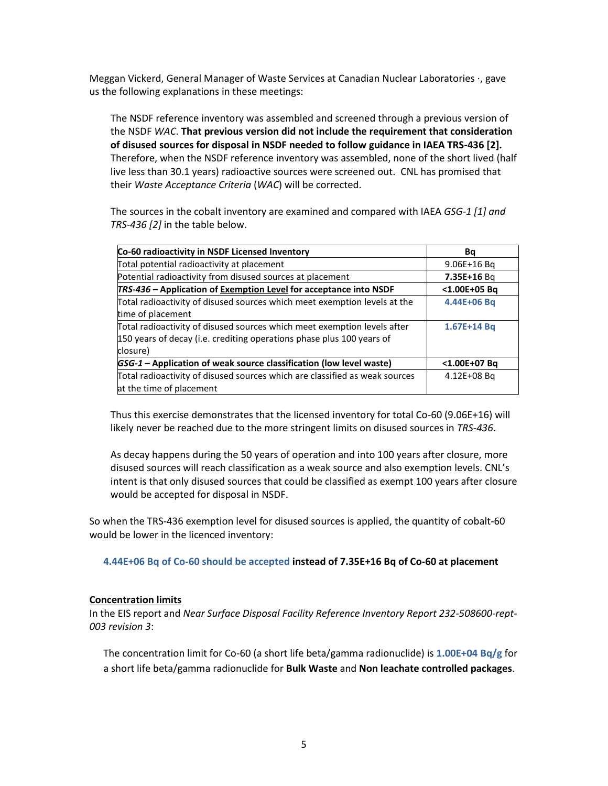Meggan Vickerd, General Manager of Waste Services at Canadian Nuclear Laboratories ·, gave us the following explanations in these meetings:

The NSDF reference inventory was assembled and screened through a previous version of the NSDF *WAC*. **That previous version did not include the requirement that consideration of disused sources for disposal in NSDF needed to follow guidance in IAEA TRS-436 [2].** Therefore, when the NSDF reference inventory was assembled, none of the short lived (half live less than 30.1 years) radioactive sources were screened out. CNL has promised that their *Waste Acceptance Criteria* (*WAC*) will be corrected.

The sources in the cobalt inventory are examined and compared with IAEA *GSG-1 [1] and TRS-436 [2]* in the table below.

| Co-60 radioactivity in NSDF Licensed Inventory                              | Ba           |
|-----------------------------------------------------------------------------|--------------|
| Total potential radioactivity at placement                                  | 9.06E+16 Bg  |
| Potential radioactivity from disused sources at placement                   | 7.35E+16 Bg  |
| TRS-436 – Application of Exemption Level for acceptance into NSDF           | <1.00E+05 Bg |
| Total radioactivity of disused sources which meet exemption levels at the   | 4.44E+06 Bq  |
| time of placement                                                           |              |
| Total radioactivity of disused sources which meet exemption levels after    | 1.67E+14 Bq  |
| 150 years of decay (i.e. crediting operations phase plus 100 years of       |              |
| closure)                                                                    |              |
| GSG-1 - Application of weak source classification (low level waste)         | <1.00E+07 Bq |
| Total radioactivity of disused sources which are classified as weak sources | 4.12E+08 Bg  |
| at the time of placement                                                    |              |

Thus this exercise demonstrates that the licensed inventory for total Co-60 (9.06E+16) will likely never be reached due to the more stringent limits on disused sources in *TRS-436*.

As decay happens during the 50 years of operation and into 100 years after closure, more disused sources will reach classification as a weak source and also exemption levels. CNL's intent is that only disused sources that could be classified as exempt 100 years after closure would be accepted for disposal in NSDF.

So when the TRS-436 exemption level for disused sources is applied, the quantity of cobalt-60 would be lower in the licenced inventory:

**4.44E+06 Bq of Co-60 should be accepted instead of 7.35E+16 Bq of Co-60 at placement**

#### **Concentration limits**

In the EIS report and *Near Surface Disposal Facility Reference Inventory Report 232-508600-rept-003 revision 3*:

The concentration limit for Co-60 (a short life beta/gamma radionuclide) is **1.00E+04 Bq/g** for a short life beta/gamma radionuclide for **Bulk Waste** and **Non leachate controlled packages**.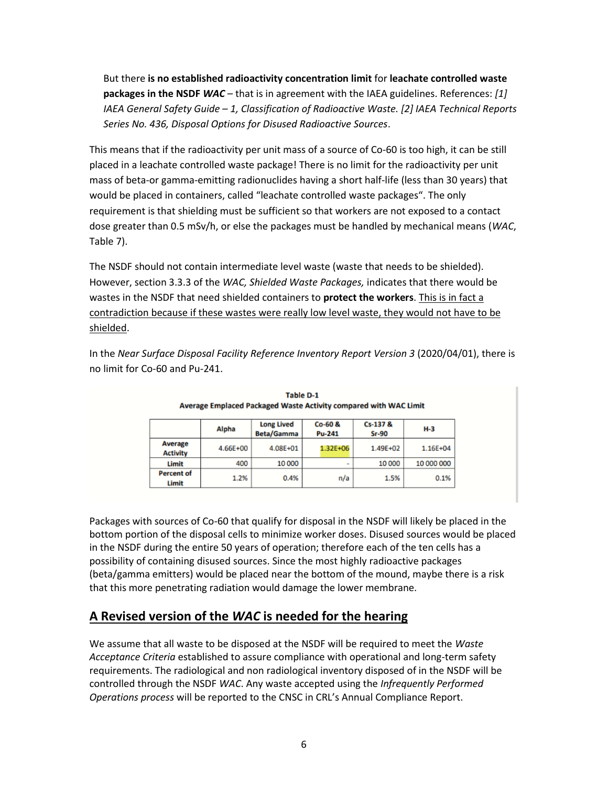But there **is no established radioactivity concentration limit** for **leachate controlled waste packages in the NSDF** *WAC* – that is in agreement with the IAEA guidelines. References: *[1] IAEA General Safety Guide – 1, Classification of Radioactive Waste. [2] IAEA Technical Reports Series No. 436, Disposal Options for Disused Radioactive Sources*.

This means that if the radioactivity per unit mass of a source of Co-60 is too high, it can be still placed in a leachate controlled waste package! There is no limit for the radioactivity per unit mass of beta-or gamma-emitting radionuclides having a short half-life (less than 30 years) that would be placed in containers, called "leachate controlled waste packages". The only requirement is that shielding must be sufficient so that workers are not exposed to a contact dose greater than 0.5 mSv/h, or else the packages must be handled by mechanical means (*WAC*, Table 7).

The NSDF should not contain intermediate level waste (waste that needs to be shielded). However, section 3.3.3 of the *WAC, Shielded Waste Packages,* indicates that there would be wastes in the NSDF that need shielded containers to **protect the workers**. This is in fact a contradiction because if these wastes were really low level waste, they would not have to be shielded.

In the *Near Surface Disposal Facility Reference Inventory Report Version 3* (2020/04/01), there is no limit for Co-60 and Pu-241.

|                                   | Alpha    | <b>Long Lived</b><br><b>Beta/Gamma</b> | $Co-60$ &<br><b>Pu-241</b> | Cs-137 &<br>$Sr-90$ | $H-3$      |
|-----------------------------------|----------|----------------------------------------|----------------------------|---------------------|------------|
| <b>Average</b><br><b>Activity</b> | 4.66E+00 | 4.08E+01                               | 1.32E+06                   | 1.49E+02            | 1.16E+04   |
| Limit                             | 400      | 10 000                                 | ۰                          | 10 000              | 10 000 000 |
| <b>Percent of</b><br>Limit        | 1.2%     | 0.4%                                   | n/a                        | 1.5%                | 0.1%       |

**Table D-1** Average Emplaced Packaged Waste Activity compared with WAC Limit

Packages with sources of Co-60 that qualify for disposal in the NSDF will likely be placed in the bottom portion of the disposal cells to minimize worker doses. Disused sources would be placed in the NSDF during the entire 50 years of operation; therefore each of the ten cells has a possibility of containing disused sources. Since the most highly radioactive packages (beta/gamma emitters) would be placed near the bottom of the mound, maybe there is a risk that this more penetrating radiation would damage the lower membrane.

# **A Revised version of the** *WAC* **is needed for the hearing**

We assume that all waste to be disposed at the NSDF will be required to meet the *Waste Acceptance Criteria* established to assure compliance with operational and long-term safety requirements. The radiological and non radiological inventory disposed of in the NSDF will be controlled through the NSDF *WAC*. Any waste accepted using the *Infrequently Performed Operations process* will be reported to the CNSC in CRL's Annual Compliance Report.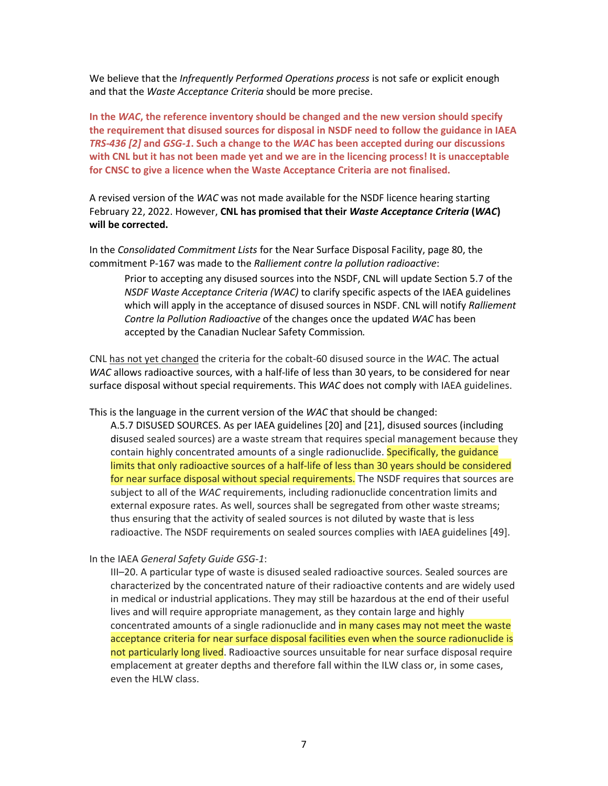We believe that the *Infrequently Performed Operations process* is not safe or explicit enough and that the *Waste Acceptance Criteria* should be more precise.

**In the** *WAC***, the reference inventory should be changed and the new version should specify the requirement that disused sources for disposal in NSDF need to follow the guidance in IAEA** *TRS-436 [2]* **and** *GSG-1***. Such a change to the** *WAC* **has been accepted during our discussions** with CNL but it has not been made yet and we are in the licencing process! It is unacceptable **for CNSC to give a licence when the Waste Acceptance Criteria are not finalised.**

A revised version of the *WAC* was not made available for the NSDF licence hearing starting February 22, 2022. However, **CNL has promised that their** *Waste Acceptance Criteria* **(***WAC***) will be corrected.** 

In the *Consolidated Commitment Lists* for the Near Surface Disposal Facility, page 80, the commitment P-167 was made to the *Ralliement contre la pollution radioactive*:

Prior to accepting any disused sources into the NSDF, CNL will update Section 5.7 of the *NSDF Waste Acceptance Criteria (WAC)* to clarify specific aspects of the IAEA guidelines which will apply in the acceptance of disused sources in NSDF. CNL will notify *Ralliement Contre la Pollution Radioactive* of the changes once the updated *WAC* has been accepted by the Canadian Nuclear Safety Commission*.*

CNL has not yet changed the criteria for the cobalt-60 disused source in the *WAC*. The actual *WAC* allows radioactive sources, with a half-life of less than 30 years, to be considered for near surface disposal without special requirements. This *WAC* does not comply with IAEA guidelines.

This is the language in the current version of the *WAC* that should be changed:

A.5.7 DISUSED SOURCES. As per IAEA guidelines [20] and [21], disused sources (including disused sealed sources) are a waste stream that requires special management because they contain highly concentrated amounts of a single radionuclide. Specifically, the guidance limits that only radioactive sources of a half-life of less than 30 years should be considered for near surface disposal without special requirements. The NSDF requires that sources are subject to all of the *WAC* requirements, including radionuclide concentration limits and external exposure rates. As well, sources shall be segregated from other waste streams; thus ensuring that the activity of sealed sources is not diluted by waste that is less radioactive. The NSDF requirements on sealed sources complies with IAEA guidelines [49].

In the IAEA *General Safety Guide GSG-1*:

III–20. A particular type of waste is disused sealed radioactive sources. Sealed sources are characterized by the concentrated nature of their radioactive contents and are widely used in medical or industrial applications. They may still be hazardous at the end of their useful lives and will require appropriate management, as they contain large and highly concentrated amounts of a single radionuclide and in many cases may not meet the waste acceptance criteria for near surface disposal facilities even when the source radionuclide is not particularly long lived. Radioactive sources unsuitable for near surface disposal require emplacement at greater depths and therefore fall within the ILW class or, in some cases, even the HLW class.